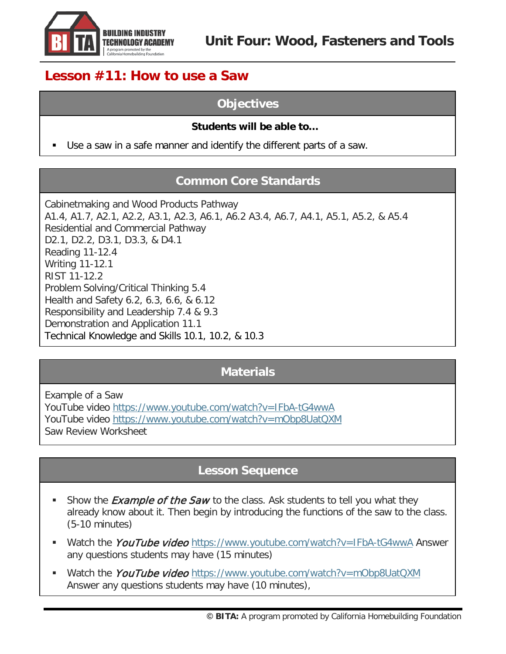

# **Lesson #11: How to use a Saw**

## **Objectives**

#### **Students will be able to…**

Use a saw in a safe manner and identify the different parts of a saw.

## **Common Core Standards**

Cabinetmaking and Wood Products Pathway A1.4, A1.7, A2.1, A2.2, A3.1, A2.3, A6.1, A6.2 A3.4, A6.7, A4.1, A5.1, A5.2, & A5.4 Residential and Commercial Pathway D2.1, D2.2, D3.1, D3.3, & D4.1 Reading 11-12.4 Writing 11-12.1 RIST 11-12.2 Problem Solving/Critical Thinking 5.4 Health and Safety 6.2, 6.3, 6.6, & 6.12 Responsibility and Leadership 7.4 & 9.3 Demonstration and Application 11.1 Technical Knowledge and Skills 10.1, 10.2, & 10.3

### **Materials**

Example of a Saw YouTube video<https://www.youtube.com/watch?v=IFbA-tG4wwA> YouTube video<https://www.youtube.com/watch?v=mObp8UatQXM> Saw Review Worksheet

## **Lesson Sequence**

- Show the *Example of the Saw* to the class. Ask students to tell you what they already know about it. Then begin by introducing the functions of the saw to the class. (5-10 minutes)
- Watch the *YouTube video* <https://www.youtube.com/watch?v=IFbA-tG4wwA> Answer any questions students may have (15 minutes)
- Watch the YouTube video <https://www.youtube.com/watch?v=mObp8UatQXM> Answer any questions students may have (10 minutes),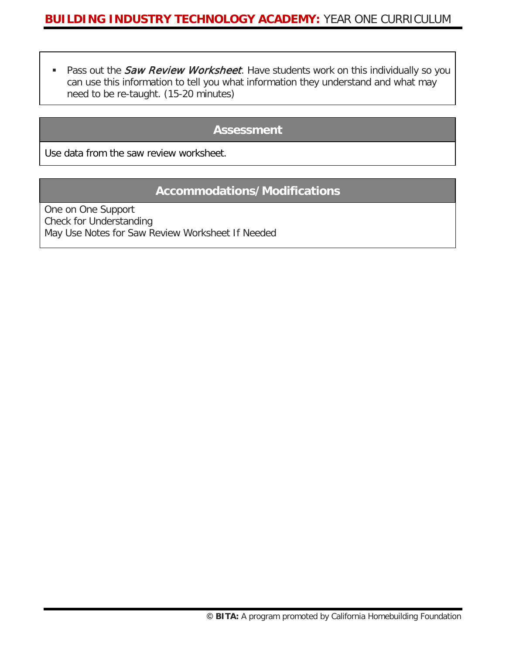Pass out the *Saw Review Worksheet*. Have students work on this individually so you can use this information to tell you what information they understand and what may need to be re-taught. (15-20 minutes)

#### **Assessment**

Use data from the saw review worksheet.

### **Accommodations/Modifications**

One on One Support Check for Understanding May Use Notes for Saw Review Worksheet If Needed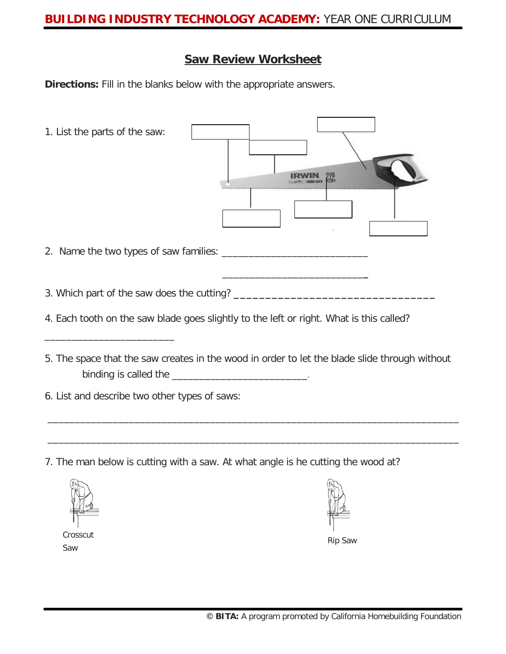## **BUILDING INDUSTRY TECHNOLOGY ACADEMY:** YEAR ONE CURRICULUM

#### **Saw Review Worksheet**

**Directions:** Fill in the blanks below with the appropriate answers.

- 1. List the parts of the saw: **IRWIN** 778<br>CO 2. Name the two types of saw families: \_\_\_\_\_\_\_\_\_\_\_\_\_\_\_\_\_\_\_\_\_\_\_\_\_\_\_ \_\_\_\_\_\_\_\_\_\_\_\_\_\_\_\_\_\_\_\_\_\_\_\_\_\_**\_** 3. Which part of the saw does the cutting? **\_\_\_\_\_\_\_\_\_\_\_\_\_\_\_\_\_\_\_\_\_\_\_\_\_\_\_\_\_\_\_\_** 4. Each tooth on the saw blade goes slightly to the left or right. What is this called? \_\_\_\_\_\_\_\_\_\_\_\_\_\_\_\_\_\_\_\_\_\_\_\_ 5. The space that the saw creates in the wood in order to let the blade slide through without binding is called the \_\_\_\_\_\_\_\_\_\_\_\_\_\_\_\_\_\_\_\_\_\_\_\_\_\_\_\_\_\_\_\_.
- 6. List and describe two other types of saws:
- 7. The man below is cutting with a saw. At what angle is he cutting the wood at?

\_\_\_\_\_\_\_\_\_\_\_\_\_\_\_\_\_\_\_\_\_\_\_\_\_\_\_\_\_\_\_\_\_\_\_\_\_\_\_\_\_\_\_\_\_\_\_\_\_\_\_\_\_\_\_\_\_\_\_\_\_\_\_\_\_\_\_\_\_\_\_\_\_\_\_\_

\_\_\_\_\_\_\_\_\_\_\_\_\_\_\_\_\_\_\_\_\_\_\_\_\_\_\_\_\_\_\_\_\_\_\_\_\_\_\_\_\_\_\_\_\_\_\_\_\_\_\_\_\_\_\_\_\_\_\_\_\_\_\_\_\_\_\_\_\_\_\_\_\_\_\_\_



**Crosscut** Saw Rip Saw Rip Saw Rip Saw Rip Saw Rip Saw Rip Saw Rip Saw Rip Saw Rip Saw Rip Saw Rip Saw Rip Saw Rip Saw Rip Saw Rip Saw Rip Saw Rip Saw Rip Saw Rip Saw Rip Saw Rip Saw Rip Saw Rip Saw Rip Saw Rip Saw Rip Saw Rip Saw Ri